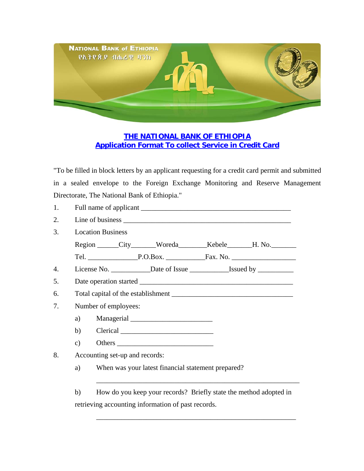

## **THE NATIONAL BANK OF ETHIOPIA Application Format To collect Service in Credit Card**

"To be filled in block letters by an applicant requesting for a credit card permit and submitted in a sealed envelope to the Foreign Exchange Monitoring and Reserve Management Directorate, The National Bank of Ethiopia."

| 1.               |                                                                                  |  |  |
|------------------|----------------------------------------------------------------------------------|--|--|
| 2.               |                                                                                  |  |  |
| 3.               | <b>Location Business</b>                                                         |  |  |
|                  | Region City Woreda Kebele H. No.                                                 |  |  |
|                  |                                                                                  |  |  |
| $\overline{4}$ . | License No. ________________Date of Issue ________________Issued by ____________ |  |  |
| 5.               |                                                                                  |  |  |
| 6.               |                                                                                  |  |  |
| 7.               | Number of employees:                                                             |  |  |
|                  |                                                                                  |  |  |
|                  |                                                                                  |  |  |
|                  | $\mathbf{c})$                                                                    |  |  |
| 8.               | Accounting set-up and records:                                                   |  |  |

a) When was your latest financial statement prepared?

 b) How do you keep your records? Briefly state the method adopted in retrieving accounting information of past records.

\_\_\_\_\_\_\_\_\_\_\_\_\_\_\_\_\_\_\_\_\_\_\_\_\_\_\_\_\_\_\_\_\_\_\_\_\_\_\_\_\_\_\_\_\_\_\_\_\_\_\_\_\_\_\_\_\_

\_\_\_\_\_\_\_\_\_\_\_\_\_\_\_\_\_\_\_\_\_\_\_\_\_\_\_\_\_\_\_\_\_\_\_\_\_\_\_\_\_\_\_\_\_\_\_\_\_\_\_\_\_\_\_\_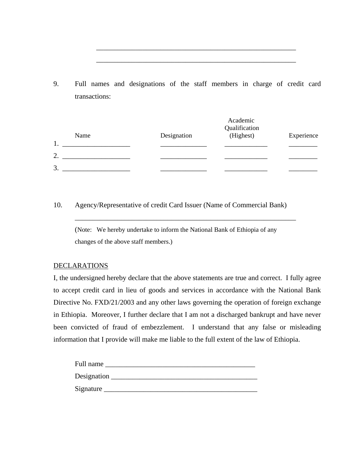9. Full names and designations of the staff members in charge of credit card transactions:

\_\_\_\_\_\_\_\_\_\_\_\_\_\_\_\_\_\_\_\_\_\_\_\_\_\_\_\_\_\_\_\_\_\_\_\_\_\_\_\_\_\_\_\_\_\_\_\_\_\_\_\_\_\_\_\_

 $\overline{\phantom{a}}$  ,  $\overline{\phantom{a}}$  ,  $\overline{\phantom{a}}$  ,  $\overline{\phantom{a}}$  ,  $\overline{\phantom{a}}$  ,  $\overline{\phantom{a}}$  ,  $\overline{\phantom{a}}$  ,  $\overline{\phantom{a}}$  ,  $\overline{\phantom{a}}$  ,  $\overline{\phantom{a}}$  ,  $\overline{\phantom{a}}$  ,  $\overline{\phantom{a}}$  ,  $\overline{\phantom{a}}$  ,  $\overline{\phantom{a}}$  ,  $\overline{\phantom{a}}$  ,  $\overline{\phantom{a}}$ 

|              | Academic<br>Qualification |           |            |
|--------------|---------------------------|-----------|------------|
| Name         | Designation               | (Highest) | Experience |
| $\mathbf{1}$ |                           |           |            |
| 2.           |                           |           |            |
| 3.           |                           |           |            |

## 10. Agency/Representative of credit Card Issuer (Name of Commercial Bank)

 (Note: We hereby undertake to inform the National Bank of Ethiopia of any changes of the above staff members.)

\_\_\_\_\_\_\_\_\_\_\_\_\_\_\_\_\_\_\_\_\_\_\_\_\_\_\_\_\_\_\_\_\_\_\_\_\_\_\_\_\_\_\_\_\_\_\_\_\_\_\_\_\_\_\_\_\_\_\_\_\_\_

## DECLARATIONS

I, the undersigned hereby declare that the above statements are true and correct. I fully agree to accept credit card in lieu of goods and services in accordance with the National Bank Directive No. FXD/21/2003 and any other laws governing the operation of foreign exchange in Ethiopia. Moreover, I further declare that I am not a discharged bankrupt and have never been convicted of fraud of embezzlement. I understand that any false or misleading information that I provide will make me liable to the full extent of the law of Ethiopia.

| Full name   |  |
|-------------|--|
| Designation |  |
| Signature   |  |